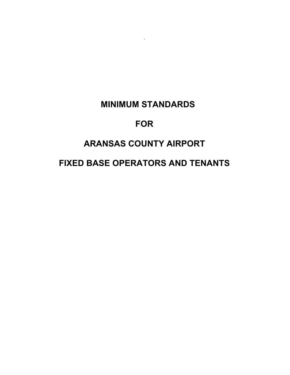# **MINIMUM STANDARDS**

.

# **FOR**

# **ARANSAS COUNTY AIRPORT**

# **FIXED BASE OPERATORS AND TENANTS**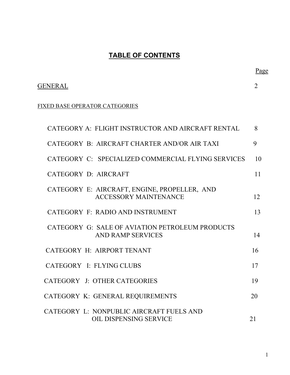# **TABLE OF CONTENTS**

### GENERAL 2

#### FIXED BASE OPERATOR CATEGORIES

| CATEGORY A: FLIGHT INSTRUCTOR AND AIRCRAFT RENTAL                            | 8  |
|------------------------------------------------------------------------------|----|
| CATEGORY B: AIRCRAFT CHARTER AND/OR AIR TAXI                                 | 9  |
| CATEGORY C: SPECIALIZED COMMERCIAL FLYING SERVICES                           | 10 |
| CATEGORY D: AIRCRAFT                                                         | 11 |
| CATEGORY E: AIRCRAFT, ENGINE, PROPELLER, AND<br><b>ACCESSORY MAINTENANCE</b> | 12 |
| CATEGORY F: RADIO AND INSTRUMENT                                             | 13 |
| CATEGORY G: SALE OF AVIATION PETROLEUM PRODUCTS<br>AND RAMP SERVICES         | 14 |
| CATEGORY H: AIRPORT TENANT                                                   | 16 |
| CATEGORY I: FLYING CLUBS                                                     | 17 |
| CATEGORY J: OTHER CATEGORIES                                                 | 19 |
| CATEGORY K: GENERAL REQUIREMENTS                                             | 20 |
| CATEGORY L: NONPUBLIC AIRCRAFT FUELS AND<br><b>OIL DISPENSING SERVICE</b>    | 21 |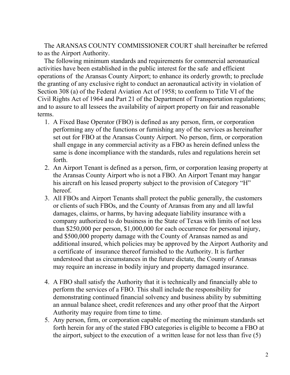The ARANSAS COUNTY COMMISSIONER COURT shall hereinafter be referred to as the Airport Authority.

 The following minimum standards and requirements for commercial aeronautical activities have been established in the public interest for the safe and efficient operations of the Aransas County Airport; to enhance its orderly growth; to preclude the granting of any exclusive right to conduct an aeronautical activity in violation of Section 308 (a) of the Federal Aviation Act of 1958; to conform to Title VI of the Civil Rights Act of 1964 and Part 21 of the Department of Transportation regulations; and to assure to all lessees the availability of airport property on fair and reasonable terms.

- 1. A Fixed Base Operator (FBO) is defined as any person, firm, or corporation performing any of the functions or furnishing any of the services as hereinafter set out for FBO at the Aransas County Airport. No person, firm, or corporation shall engage in any commercial activity as a FBO as herein defined unless the same is done incompliance with the standards, rules and regulations herein set forth.
- 2. An Airport Tenant is defined as a person, firm, or corporation leasing property at the Aransas County Airport who is not a FBO. An Airport Tenant may hangar his aircraft on his leased property subject to the provision of Category "H" hereof.
- 3. All FBOs and Airport Tenants shall protect the public generally, the customers or clients of such FBOs, and the County of Aransas from any and all lawful damages, claims, or harms, by having adequate liability insurance with a company authorized to do business in the State of Texas with limits of not less than \$250,000 per person, \$1,000,000 for each occurrence for personal injury, and \$500,000 property damage with the County of Aransas named as and additional insured, which policies may be approved by the Airport Authority and a certificate of insurance thereof furnished to the Authority. It is further understood that as circumstances in the future dictate, the County of Aransas may require an increase in bodily injury and property damaged insurance.
- 4. A FBO shall satisfy the Authority that it is technically and financially able to perform the services of a FBO. This shall include the responsibility for demonstrating continued financial solvency and business ability by submitting an annual balance sheet, credit references and any other proof that the Airport Authority may require from time to time.
- 5. Any person, firm, or corporation capable of meeting the minimum standards set forth herein for any of the stated FBO categories is eligible to become a FBO at the airport, subject to the execution of a written lease for not less than five (5)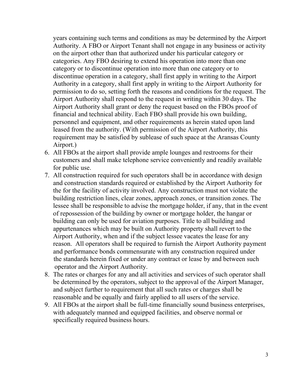years containing such terms and conditions as may be determined by the Airport Authority. A FBO or Airport Tenant shall not engage in any business or activity on the airport other than that authorized under his particular category or categories. Any FBO desiring to extend his operation into more than one category or to discontinue operation into more than one category or to discontinue operation in a category, shall first apply in writing to the Airport Authority in a category, shall first apply in writing to the Airport Authority for permission to do so, setting forth the reasons and conditions for the request. The Airport Authority shall respond to the request in writing within 30 days. The Airport Authority shall grant or deny the request based on the FBOs proof of financial and technical ability. Each FBO shall provide his own building, personnel and equipment, and other requirements as herein stated upon land leased from the authority. (With permission of the Airport Authority, this requirement may be satisfied by sublease of such space at the Aransas County Airport.)

- 6. All FBOs at the airport shall provide ample lounges and restrooms for their customers and shall make telephone service conveniently and readily available for public use.
- 7. All construction required for such operators shall be in accordance with design and construction standards required or established by the Airport Authority for the for the facility of activity involved. Any construction must not violate the building restriction lines, clear zones, approach zones, or transition zones. The lessee shall be responsible to advise the mortgage holder, if any, that in the event of repossession of the building by owner or mortgage holder, the hangar or building can only be used for aviation purposes. Title to all building and appurtenances which may be built on Authority property shall revert to the Airport Authority, when and if the subject lessee vacates the lease for any reason. All operators shall be required to furnish the Airport Authority payment and performance bonds commensurate with any construction required under the standards herein fixed or under any contract or lease by and between such operator and the Airport Authority.
- 8. The rates or charges for any and all activities and services of such operator shall be determined by the operators, subject to the approval of the Airport Manager, and subject further to requirement that all such rates or charges shall be reasonable and be equally and fairly applied to all users of the service.
- 9. All FBOs at the airport shall be full-time financially sound business enterprises, with adequately manned and equipped facilities, and observe normal or specifically required business hours.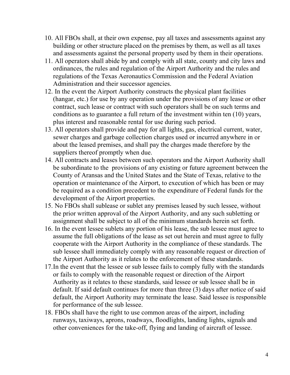- 10.All FBOs shall, at their own expense, pay all taxes and assessments against any building or other structure placed on the premises by them, as well as all taxes and assessments against the personal property used by them in their operations.
- 11.All operators shall abide by and comply with all state, county and city laws and ordinances, the rules and regulation of the Airport Authority and the rules and regulations of the Texas Aeronautics Commission and the Federal Aviation Administration and their successor agencies.
- 12.In the event the Airport Authority constructs the physical plant facilities (hangar, etc.) for use by any operation under the provisions of any lease or other contract, such lease or contract with such operators shall be on such terms and conditions as to guarantee a full return of the investment within ten (10) years, plus interest and reasonable rental for use during such period.
- 13.All operators shall provide and pay for all lights, gas, electrical current, water, sewer charges and garbage collection charges used or incurred anywhere in or about the leased premises, and shall pay the charges made therefore by the suppliers thereof promptly when due.
- 14.All contracts and leases between such operators and the Airport Authority shall be subordinate to the provisions of any existing or future agreement between the County of Aransas and the United States and the State of Texas, relative to the operation or maintenance of the Airport, to execution of which has been or may be required as a condition precedent to the expenditure of Federal funds for the development of the Airport properties.
- 15.No FBOs shall sublease or sublet any premises leased by such lessee, without the prior written approval of the Airport Authority, and any such subletting or assignment shall be subject to all of the minimum standards herein set forth.
- 16.In the event lessee sublets any portion of his lease, the sub lessee must agree to assume the full obligations of the lease as set out herein and must agree to fully cooperate with the Airport Authority in the compliance of these standards. The sub lessee shall immediately comply with any reasonable request or direction of the Airport Authority as it relates to the enforcement of these standards.
- 17. In the event that the lessee or sub lessee fails to comply fully with the standards or fails to comply with the reasonable request or direction of the Airport Authority as it relates to these standards, said lessee or sub lessee shall be in default. If said default continues for more than three (3) days after notice of said default, the Airport Authority may terminate the lease. Said lessee is responsible for performance of the sub lessee.
- 18.FBOs shall have the right to use common areas of the airport, including runways, taxiways, aprons, roadways, floodlights, landing lights, signals and other conveniences for the take-off, flying and landing of aircraft of lessee.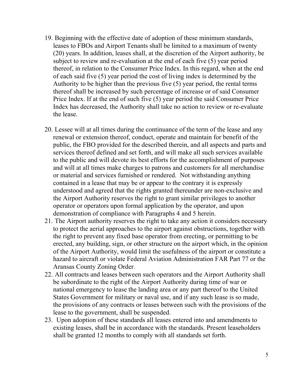- 19.Beginning with the effective date of adoption of these minimum standards, leases to FBOs and Airport Tenants shall be limited to a maximum of twenty (20) years. In addition, leases shall, at the discretion of the Airport authority, be subject to review and re-evaluation at the end of each five (5) year period thereof, in relation to the Consumer Price Index. In this regard, when at the end of each said five (5) year period the cost of living index is determined by the Authority to be higher than the previous five (5) year period, the rental terms thereof shall be increased by such percentage of increase or of said Consumer Price Index. If at the end of such five (5) year period the said Consumer Price Index has decreased, the Authority shall take no action to review or re-evaluate the lease.
- 20.Lessee will at all times during the continuance of the term of the lease and any renewal or extension thereof, conduct, operate and maintain for benefit of the public, the FBO provided for the described therein, and all aspects and parts and services thereof defined and set forth, and will make all such services available to the public and will devote its best efforts for the accomplishment of purposes and will at all times make charges to patrons and customers for all merchandise or material and services furnished or rendered. Not withstanding anything contained in a lease that may be or appear to the contrary it is expressly understood and agreed that the rights granted thereunder are non-exclusive and the Airport Authority reserves the right to grant similar privileges to another operator or operators upon formal application by the operator, and upon demonstration of compliance with Paragraphs 4 and 5 herein.
- 21.The Airport authority reserves the right to take any action it considers necessary to protect the aerial approaches to the airport against obstructions, together with the right to prevent any fixed base operator from erecting, or permitting to be erected, any building, sign, or other structure on the airport which, in the opinion of the Airport Authority, would limit the usefulness of the airport or constitute a hazard to aircraft or violate Federal Aviation Administration FAR Part 77 or the Aransas County Zoning Order.
- 22.All contracts and leases between such operators and the Airport Authority shall be subordinate to the right of the Airport Authority during time of war or national emergency to lease the landing area or any part thereof to the United States Government for military or naval use, and if any such lease is so made, the provisions of any contracts or leases between such with the provisions of the lease to the government, shall be suspended.
- 23. Upon adoption of these standards all leases entered into and amendments to existing leases, shall be in accordance with the standards. Present leaseholders shall be granted 12 months to comply with all standards set forth.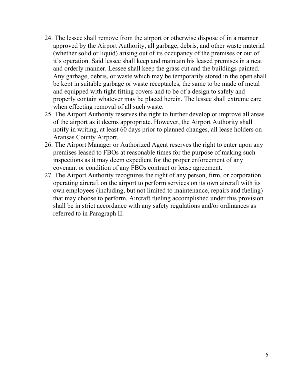- 24.The lessee shall remove from the airport or otherwise dispose of in a manner approved by the Airport Authority, all garbage, debris, and other waste material (whether solid or liquid) arising out of its occupancy of the premises or out of it's operation. Said lessee shall keep and maintain his leased premises in a neat and orderly manner. Lessee shall keep the grass cut and the buildings painted. Any garbage, debris, or waste which may be temporarily stored in the open shall be kept in suitable garbage or waste receptacles, the same to be made of metal and equipped with tight fitting covers and to be of a design to safely and properly contain whatever may be placed herein. The lessee shall extreme care when effecting removal of all such waste.
- 25.The Airport Authority reserves the right to further develop or improve all areas of the airport as it deems appropriate. However, the Airport Authority shall notify in writing, at least 60 days prior to planned changes, all lease holders on Aransas County Airport.
- 26.The Airport Manager or Authorized Agent reserves the right to enter upon any premises leased to FBOs at reasonable times for the purpose of making such inspections as it may deem expedient for the proper enforcement of any covenant or condition of any FBOs contract or lease agreement.
- 27.The Airport Authority recognizes the right of any person, firm, or corporation operating aircraft on the airport to perform services on its own aircraft with its own employees (including, but not limited to maintenance, repairs and fueling) that may choose to perform. Aircraft fueling accomplished under this provision shall be in strict accordance with any safety regulations and/or ordinances as referred to in Paragraph II.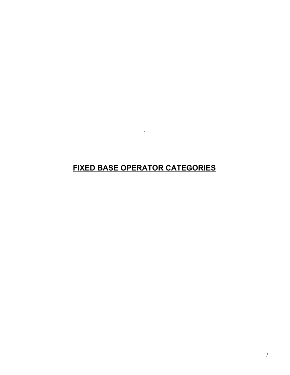# **FIXED BASE OPERATOR CATEGORIES**

.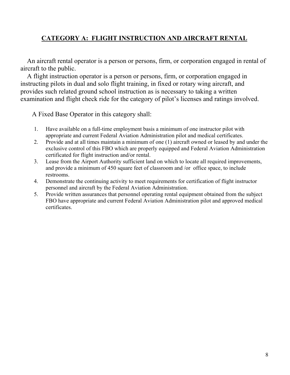#### **CATEGORY A: FLIGHT INSTRUCTION AND AIRCRAFT RENTAL**

 An aircraft rental operator is a person or persons, firm, or corporation engaged in rental of aircraft to the public.

 A flight instruction operator is a person or persons, firm, or corporation engaged in instructing pilots in dual and solo flight training, in fixed or rotary wing aircraft, and provides such related ground school instruction as is necessary to taking a written examination and flight check ride for the category of pilot's licenses and ratings involved.

- 1. Have available on a full-time employment basis a minimum of one instructor pilot with appropriate and current Federal Aviation Administration pilot and medical certificates.
- 2. Provide and at all times maintain a minimum of one (1) aircraft owned or leased by and under the exclusive control of this FBO which are properly equipped and Federal Aviation Administration certificated for flight instruction and/or rental.
- 3. Lease from the Airport Authority sufficient land on which to locate all required improvements, and provide a minimum of 450 square feet of classroom and /or office space, to include restrooms.
- 4. Demonstrate the continuing activity to meet requirements for certification of flight instructor personnel and aircraft by the Federal Aviation Administration.
- 5. Provide written assurances that personnel operating rental equipment obtained from the subject FBO have appropriate and current Federal Aviation Administration pilot and approved medical certificates.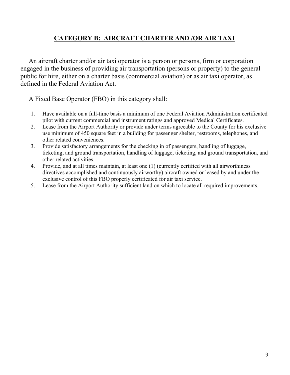### **CATEGORY B: AIRCRAFT CHARTER AND /OR AIR TAXI**

 An aircraft charter and/or air taxi operator is a person or persons, firm or corporation engaged in the business of providing air transportation (persons or property) to the general public for hire, either on a charter basis (commercial aviation) or as air taxi operator, as defined in the Federal Aviation Act.

- 1. Have available on a full-time basis a minimum of one Federal Aviation Administration certificated pilot with current commercial and instrument ratings and approved Medical Certificates.
- 2. Lease from the Airport Authority or provide under terms agreeable to the County for his exclusive use minimum of 450 square feet in a building for passenger shelter, restrooms, telephones, and other related conveniences.
- 3. Provide satisfactory arrangements for the checking in of passengers, handling of luggage, ticketing, and ground transportation, handling of luggage, ticketing, and ground transportation, and other related activities.
- 4. Provide, and at all times maintain, at least one (1) (currently certified with all airworthiness directives accomplished and continuously airworthy) aircraft owned or leased by and under the exclusive control of this FBO properly certificated for air taxi service.
- 5. Lease from the Airport Authority sufficient land on which to locate all required improvements.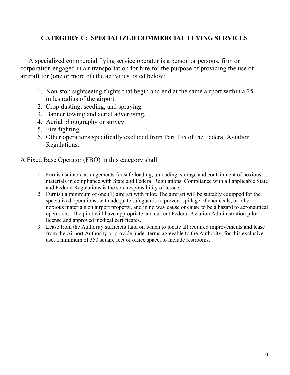### **CATEGORY C: SPECIALIZED COMMERCIAL FLYING SERVICES**

 A specialized commercial flying service operator is a person or persons, firm or corporation engaged in air transportation for hire for the purpose of providing the use of aircraft for (one or more of) the activities listed below:

- 1. Non-stop sightseeing flights that begin and end at the same airport within a 25 miles radius of the airport.
- 2. Crop dusting, seeding, and spraying.
- 3. Banner towing and aerial advertising.
- 4. Aerial photography or survey.
- 5. Fire fighting.
- 6. Other operations specifically excluded from Part 135 of the Federal Aviation Regulations.

- 1. Furnish suitable arrangements for safe loading, unloading, storage and containment of noxious materials in compliance with State and Federal Regulations. Compliance with all applicable State and Federal Regulations is the sole responsibility of lessee.
- 2. Furnish a minimum of one (1) aircraft with pilot. The aircraft will be suitably equipped for the specialized operations, with adequate safeguards to prevent spillage of chemicals, or other noxious materials on airport property, and in no way cause or cause to be a hazard to aeronautical operations. The pilot will have appropriate and current Federal Aviation Administration pilot license and approved medical certificates.
- 3. Lease from the Authority sufficient land on which to locate all required improvements and lease from the Airport Authority or provide under terms agreeable to the Authority, for this exclusive use, a minimum of 350 square feet of office space, to include restrooms.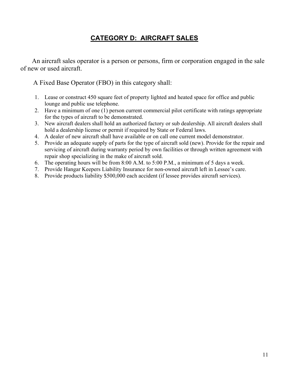### **CATEGORY D: AIRCRAFT SALES**

 An aircraft sales operator is a person or persons, firm or corporation engaged in the sale of new or used aircraft.

- 1. Lease or construct 450 square feet of property lighted and heated space for office and public lounge and public use telephone.
- 2. Have a minimum of one (1) person current commercial pilot certificate with ratings appropriate for the types of aircraft to be demonstrated.
- 3. New aircraft dealers shall hold an authorized factory or sub dealership. All aircraft dealers shall hold a dealership license or permit if required by State or Federal laws.
- 4. A dealer of new aircraft shall have available or on call one current model demonstrator.
- 5. Provide an adequate supply of parts for the type of aircraft sold (new). Provide for the repair and servicing of aircraft during warranty period by own facilities or through written agreement with repair shop specializing in the make of aircraft sold.
- 6. The operating hours will be from 8:00 A.M. to 5:00 P.M., a minimum of 5 days a week.
- 7. Provide Hangar Keepers Liability Insurance for non-owned aircraft left in Lessee's care.
- 8. Provide products liability \$500,000 each accident (if lessee provides aircraft services).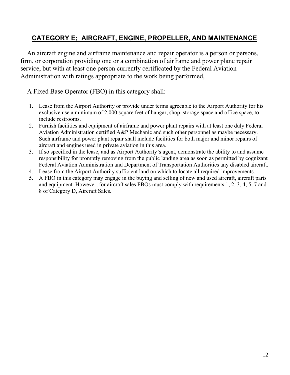### **CATEGORY E; AIRCRAFT, ENGINE, PROPELLER, AND MAINTENANCE**

 An aircraft engine and airframe maintenance and repair operator is a person or persons, firm, or corporation providing one or a combination of airframe and power plane repair service, but with at least one person currently certificated by the Federal Aviation Administration with ratings appropriate to the work being performed,

- 1. Lease from the Airport Authority or provide under terms agreeable to the Airport Authority for his exclusive use a minimum of 2,000 square feet of hangar, shop, storage space and office space, to include restrooms.
- 2. Furnish facilities and equipment of airframe and power plant repairs with at least one duly Federal Aviation Administration certified A&P Mechanic and such other personnel as maybe necessary. Such airframe and power plant repair shall include facilities for both major and minor repairs of aircraft and engines used in private aviation in this area.
- 3. If so specified in the lease, and as Airport Authority's agent, demonstrate the ability to and assume responsibility for promptly removing from the public landing area as soon as permitted by cognizant Federal Aviation Administration and Department of Transportation Authorities any disabled aircraft.
- 4. Lease from the Airport Authority sufficient land on which to locate all required improvements.
- 5. A FBO in this category may engage in the buying and selling of new and used aircraft, aircraft parts and equipment. However, for aircraft sales FBOs must comply with requirements 1, 2, 3, 4, 5, 7 and 8 of Category D, Aircraft Sales.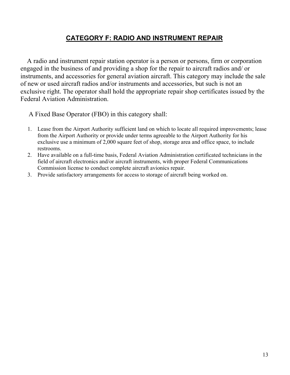### **CATEGORY F: RADIO AND INSTRUMENT REPAIR**

 A radio and instrument repair station operator is a person or persons, firm or corporation engaged in the business of and providing a shop for the repair to aircraft radios and/ or instruments, and accessories for general aviation aircraft. This category may include the sale of new or used aircraft radios and/or instruments and accessories, but such is not an exclusive right. The operator shall hold the appropriate repair shop certificates issued by the Federal Aviation Administration.

- 1. Lease from the Airport Authority sufficient land on which to locate all required improvements; lease from the Airport Authority or provide under terms agreeable to the Airport Authority for his exclusive use a minimum of 2,000 square feet of shop, storage area and office space, to include restrooms.
- 2. Have available on a full-time basis, Federal Aviation Administration certificated technicians in the field of aircraft electronics and/or aircraft instruments, with proper Federal Communications Commission license to conduct complete aircraft avionics repair.
- 3. Provide satisfactory arrangements for access to storage of aircraft being worked on.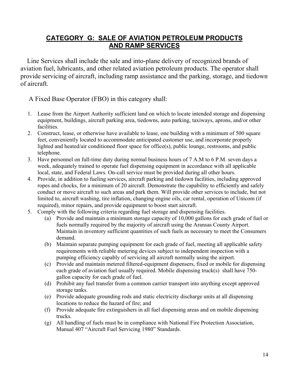#### **CATEGORY G: SALE OF AVIATION PETROLEUM PRODUCTS AND RAMP SERVICES**

 Line Services shall include the sale and into-plane delivery of recognized brands of aviation fuel, lubricants, and other related aviation petroleum products. The operator shall provide servicing of aircraft, including ramp assistance and the parking, storage, and tiedown of aircraft.

- 1. Lease from the Airport Authority sufficient land on which to locate intended storage and dispensing equipment, buildings, aircraft parking area, tiedowns, auto parking, taxiways, aprons, and/or other facilities.
- 2. Construct, lease, or otherwise have available to lease, one building with a minimum of 500 square feet, conveniently located to accommodate anticipated customer use, and incorporate properly lighted and heated/air conditioned floor space for office(s), public lounge, restrooms, and public telephone.
- 3. Have personnel on full-time duty during normal business hours of 7 A.M to 6 P.M. seven days a week, adequately trained to operate fuel dispensing equipment in accordance with all applicable local, state, and Federal Laws. On-call service must be provided during all other hours.
- 4. Provide, in addition to fueling services, aircraft parking and tiedown facilities, including approved ropes and chocks, for a minimum of 20 aircraft. Demonstrate the capability to efficiently and safely conduct or move aircraft to such areas and park them. Will provide other services to include, but not limited to, aircraft washing, tire inflation, changing engine oils, car rental, operation of Unicom (if required), minor repairs, and provide equipment to boost start aircraft.
- 5. Comply with the following criteria regarding fuel storage and dispensing facilities.
	- (a) Provide and maintain a minimum storage capacity of 10,000 gallons for each grade of fuel or fuels normally required by the majority of aircraft using the Aransas County Airport. Maintain in inventory sufficient quantities of such fuels as necessary to meet the Consumers demand.
	- (b) Maintain separate pumping equipment for each grade of fuel, meeting all applicable safety requirements with reliable metering devices subject to independent inspection with a pumping efficiency capably of servicing all aircraft normally using the airport.
	- (c) Provide and maintain metered filtered-equipment dispensers, fixed or mobile for dispensing each grade of aviation fuel usually required. Mobile dispensing truck(s) shall have 750 gallon capacity for each grade of fuel.
	- (d) Prohibit any fuel transfer from a common carrier transport into anything except approved storage tanks.
	- (e) Provide adequate grounding rods and static electricity discharge units at all dispensing locations to reduce the hazard of fire; and
	- (f) Provide adequate fire extinguishers in all fuel dispensing areas and on mobile dispensing trucks.
	- (g) All handling of fuels must be in compliance with National Fire Protection Association, Manual 407 "Aircraft Fuel Servicing 1980" Standards.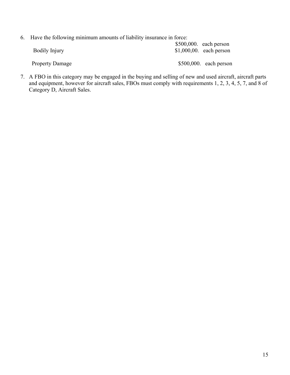|  | 6. Have the following minimum amounts of liability insurance in force: |  |
|--|------------------------------------------------------------------------|--|
|  |                                                                        |  |

| <b>Bodily Injury</b>   | $$500,000$ . each person<br>$$1,000,00$ . each person |
|------------------------|-------------------------------------------------------|
| <b>Property Damage</b> | $$500,000$ . each person                              |

7. A FBO in this category may be engaged in the buying and selling of new and used aircraft, aircraft parts and equipment, however for aircraft sales, FBOs must comply with requirements 1, 2, 3, 4, 5, 7, and 8 of Category D, Aircraft Sales.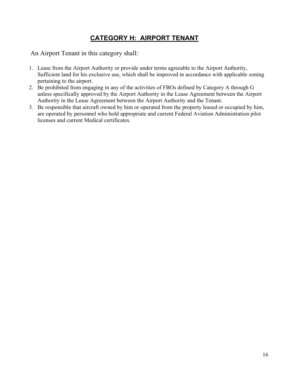# **CATEGORY H: AIRPORT TENANT**

An Airport Tenant in this category shall:

- 1. Lease from the Airport Authority or provide under terms agreeable to the Airport Authority, Sufficient land for his exclusive use, which shall be improved in accordance with applicable zoning pertaining to the airport.
- 2. Be prohibited from engaging in any of the activities of FBOs defined by Category A through G unless specifically approved by the Airport Authority in the Lease Agreement between the Airport Authority in the Lease Agreement between the Airport Authority and the Tenant.
- 3. Be responsible that aircraft owned by him or operated from the property leased or occupied by him, are operated by personnel who hold appropriate and current Federal Aviation Administration pilot licenses and current Medical certificates.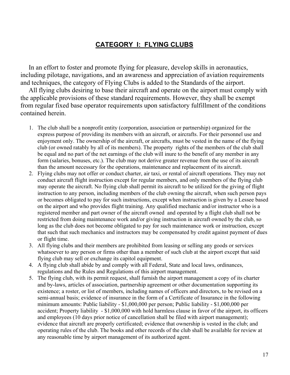### **CATEGORY I: FLYING CLUBS**

 In an effort to foster and promote flying for pleasure, develop skills in aeronautics, including pilotage, navigations, and an awareness and appreciation of aviation requirements and techniques, the category of Flying Clubs is added to the Standards of the airport.

 All flying clubs desiring to base their aircraft and operate on the airport must comply with the applicable provisions of these standard requirements. However, they shall be exempt from regular fixed base operator requirements upon satisfactory fulfillment of the conditions contained herein.

- 1. The club shall be a nonprofit entity (corporation, association or partnership) organized for the express purpose of providing its members with an aircraft, or aircrafts. For their personnel use and enjoyment only. The ownership of the aircraft, or aircrafts, must be vested in the name of the flying club (or owned ratably by all of its members). The property rights of the members of the club shall be equal and no part of the net earnings of the club will inure to the benefit of any member in any form (salaries, bonuses, etc.). The club may not derive greater revenue from the use of its aircraft than the amount necessary for the operations, maintenance and replacement of its aircraft.
- 2. Flying clubs may not offer or conduct charter, air taxi, or rental of aircraft operations. They may not conduct aircraft flight instruction except for regular members, and only members of the flying club may operate the aircraft. No flying club shall permit its aircraft to be utilized for the giving of flight instruction to any person, including members of the club owning the aircraft, when such person pays or becomes obligated to pay for such instructions, except when instruction is given by a Lessee based on the airport and who provides flight training. Any qualified mechanic and/or instructor who is a registered member and part owner of the aircraft owned and operated by a flight club shall not be restricted from doing maintenance work and/or giving instruction in aircraft owned by the club, so long as the club does not become obligated to pay for such maintenance work or instruction, except that such that such mechanics and instructors may be compensated by credit against payment of dues or flight time.
- 3. All flying clubs and their members are prohibited from leasing or selling any goods or services whatsoever to any person or firms other than a member of such club at the airport except that said flying club may sell or exchange its capitol equipment.
- 4. A flying club shall abide by and comply with all Federal, State and local laws, ordinances, regulations and the Rules and Regulations of this airport management.
- 5. The flying club, with its permit request, shall furnish the airport management a copy of its charter and by-laws, articles of association, partnership agreement or other documentation supporting its existence; a roster, or list of members, including names of officers and directors, to be revised on a semi-annual basis; evidence of insurance in the form of a Certificate of Insurance in the following minimum amounts: Public liability - \$1,000,000 per person; Public liability - \$1,000,000 per accident; Property liability - \$1,000,000 with hold harmless clause in favor of the airport, its officers and employees (10 days prior notice of cancellation shall be filed with airport management); evidence that aircraft are properly certificated; evidence that ownership is vested in the club; and operating rules of the club. The books and other records of the club shall be available for review at any reasonable time by airport management of its authorized agent.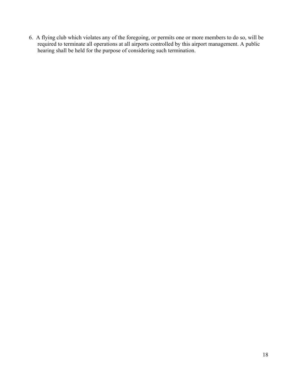6. A flying club which violates any of the foregoing, or permits one or more members to do so, will be required to terminate all operations at all airports controlled by this airport management. A public hearing shall be held for the purpose of considering such termination.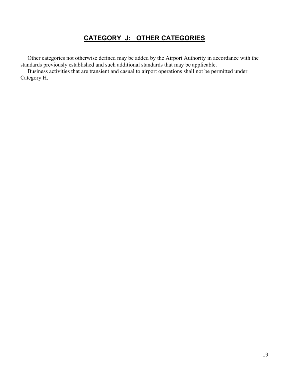# **CATEGORY J: OTHER CATEGORIES**

 Other categories not otherwise defined may be added by the Airport Authority in accordance with the standards previously established and such additional standards that may be applicable.

 Business activities that are transient and casual to airport operations shall not be permitted under Category H.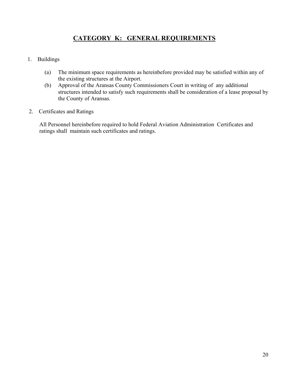#### **CATEGORY K: GENERAL REQUIREMENTS**

#### 1. Buildings

- (a) The minimum space requirements as hereinbefore provided may be satisfied within any of the existing structures at the Airport.
- (b) Approval of the Aransas County Commissioners Court in writing of any additional structures intended to satisfy such requirements shall be consideration of a lease proposal by the County of Aransas.
- 2. Certificates and Ratings

All Personnel hereinbefore required to hold Federal Aviation Administration Certificates and ratings shall maintain such certificates and ratings.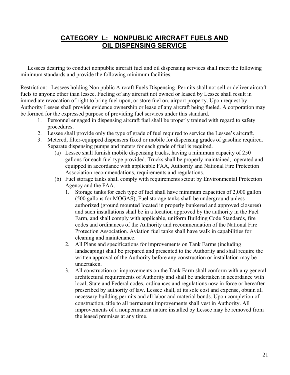#### **CATEGORY L: NONPUBLIC AIRCRAFT FUELS AND OIL DISPENSING SERVICE**

 Lessees desiring to conduct nonpublic aircraft fuel and oil dispensing services shall meet the following minimum standards and provide the following minimum facilities.

Restriction: Lessees holding Non public Aircraft Fuels Dispensing Permits shall not sell or deliver aircraft fuels to anyone other than lessee. Fueling of any aircraft not owned or leased by Lessee shall result in immediate revocation of right to bring fuel upon, or store fuel on, airport property. Upon request by Authority Lessee shall provide evidence ownership or lease of any aircraft being fueled. A corporation may be formed for the expressed purpose of providing fuel services under this standard.

- 1. Personnel engaged in dispensing aircraft fuel shall be properly trained with regard to safety procedures.
- 2. Lessee shall provide only the type of grade of fuel required to service the Lessee's aircraft.
- 3. Metered, filter-equipped dispensers fixed or mobile for dispensing grades of gasoline required. Separate dispensing pumps and meters for each grade of fuel is required.
	- (a) Lessee shall furnish mobile dispensing trucks, having a minimum capacity of 250 gallons for each fuel type provided. Trucks shall be properly maintained, operated and equipped in accordance with applicable FAA, Authority and National Fire Protection Association recommendations, requirements and regulations.
	- (b) Fuel storage tanks shall comply with requirements setout by Environmental Protection Agency and the FAA.
		- 1. Storage tanks for each type of fuel shall have minimum capacities of 2,000 gallon (500 gallons for MOGAS), Fuel storage tanks shall be underground unless authorized (ground mounted located in properly bunkered and approved closures) and such installations shall be in a location approved by the authority in the Fuel Farm, and shall comply with applicable, uniform Building Code Standards, fire codes and ordinances of the Authority and recommendation of the National Fire Protection Association. Aviation fuel tanks shall have walk in capabilities for cleaning and maintenance.
		- 2. All Plans and specifications for improvements on Tank Farms (including landscaping) shall be prepared and presented to the Authority and shall require the written approval of the Authority before any construction or installation may be undertaken.
		- 3. All construction or improvements on the Tank Farm shall conform with any general architectural requirements of Authority and shall be undertaken in accordance with local, State and Federal codes, ordinances and regulations now in force or hereafter prescribed by authority of law. Lessee shall, at its sole cost and expense, obtain all necessary building permits and all labor and material bonds. Upon completion of construction, title to all permanent improvements shall vest in Authority. All improvements of a nonpermanent nature installed by Lessee may be removed from the leased premises at any time.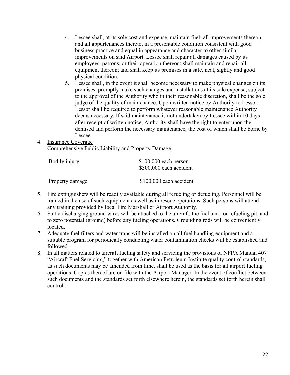- 4. Lessee shall, at its sole cost and expense, maintain fuel; all improvements thereon, and all appurtenances thereto, in a presentable condition consistent with good business practice and equal in appearance and character to other similar improvements on said Airport. Lessee shall repair all damages caused by its employees, patrons, or their operation thereon; shall maintain and repair all equipment thereon; and shall keep its premises in a safe, neat, sightly and good physical condition.
- 5. Lessee shall, in the event it shall become necessary to make physical changes on its premises, promptly make such changes and installations at its sole expense, subject to the approval of the Authority who in their reasonable discretion, shall be the sole judge of the quality of maintenance. Upon written notice by Authority to Lessor, Lessor shall be required to perform whatever reasonable maintenance Authority deems necessary. If said maintenance is not undertaken by Lessee within 10 days after receipt of written notice, Authority shall have the right to enter upon the demised and perform the necessary maintenance, the cost of which shall be borne by Lessee.
- 4. Insurance Coverage Comprehensive Public Liability and Property Damage

| Bodily injury   | $$100,000$ each person<br>\$300,000 each accident |
|-----------------|---------------------------------------------------|
| Property damage | \$100,000 each accident                           |

- 5. Fire extinguishers will be readily available during all refueling or defueling. Personnel will be trained in the use of such equipment as well as in rescue operations. Such persons will attend any training provided by local Fire Marshall or Airport Authority.
- 6. Static discharging ground wires will be attached to the aircraft, the fuel tank, or refueling pit, and to zero potential (ground) before any fueling operations. Grounding rods will be conveniently located.
- 7. Adequate fuel filters and water traps will be installed on all fuel handling equipment and a suitable program for periodically conducting water contamination checks will be established and followed.
- 8. In all matters related to aircraft fueling safety and servicing the provisions of NFPA Manual 407 "Aircraft Fuel Servicing," together with American Petroleum Institute quality control standards, as such documents may be amended from time, shall be used as the basis for all airport fueling operations. Copies thereof are on file with the Airport Manager. In the event of conflict between such documents and the standards set forth elsewhere herein, the standards set forth herein shall control.